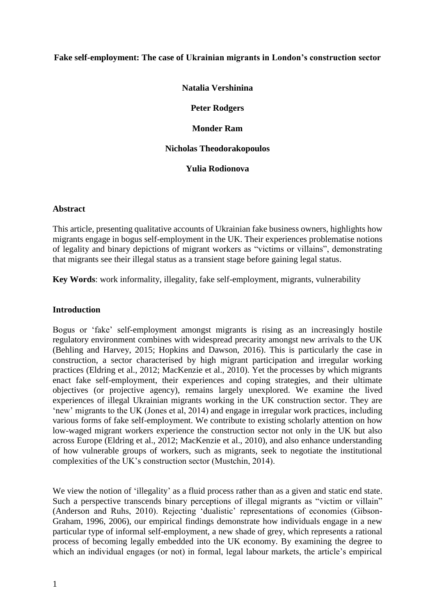#### **Fake self-employment: The case of Ukrainian migrants in London's construction sector**

**Natalia Vershinina**

**Peter Rodgers**

**Monder Ram**

#### **Nicholas Theodorakopoulos**

**Yulia Rodionova**

#### **Abstract**

This article, presenting qualitative accounts of Ukrainian fake business owners, highlights how migrants engage in bogus self-employment in the UK. Their experiences problematise notions of legality and binary depictions of migrant workers as "victims or villains", demonstrating that migrants see their illegal status as a transient stage before gaining legal status.

**Key Words**: work informality, illegality, fake self-employment, migrants, vulnerability

#### **Introduction**

Bogus or 'fake' self-employment amongst migrants is rising as an increasingly hostile regulatory environment combines with widespread precarity amongst new arrivals to the UK (Behling and Harvey, 2015; Hopkins and Dawson, 2016). This is particularly the case in construction, a sector characterised by high migrant participation and irregular working practices (Eldring et al., 2012; MacKenzie et al., 2010). Yet the processes by which migrants enact fake self-employment, their experiences and coping strategies, and their ultimate objectives (or projective agency), remains largely unexplored. We examine the lived experiences of illegal Ukrainian migrants working in the UK construction sector. They are 'new' migrants to the UK (Jones et al, 2014) and engage in irregular work practices, including various forms of fake self-employment. We contribute to existing scholarly attention on how low-waged migrant workers experience the construction sector not only in the UK but also across Europe (Eldring et al., 2012; MacKenzie et al., 2010), and also enhance understanding of how vulnerable groups of workers, such as migrants, seek to negotiate the institutional complexities of the UK's construction sector (Mustchin, 2014).

We view the notion of 'illegality' as a fluid process rather than as a given and static end state. Such a perspective transcends binary perceptions of illegal migrants as "victim or villain" (Anderson and Ruhs, 2010). Rejecting 'dualistic' representations of economies (Gibson-Graham, 1996, 2006), our empirical findings demonstrate how individuals engage in a new particular type of informal self-employment, a new shade of grey, which represents a rational process of becoming legally embedded into the UK economy. By examining the degree to which an individual engages (or not) in formal, legal labour markets, the article's empirical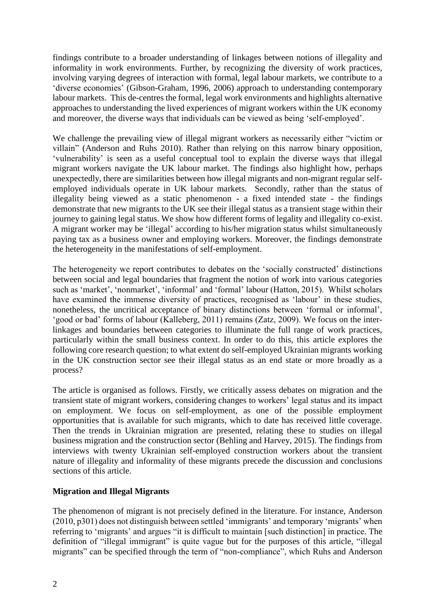findings contribute to a broader understanding of linkages between notions of illegality and informality in work environments. Further, by recognizing the diversity of work practices, involving varying degrees of interaction with formal, legal labour markets, we contribute to a 'diverse economies' (Gibson-Graham, 1996, 2006) approach to understanding contemporary labour markets. This de-centres the formal, legal work environments and highlights alternative approaches to understanding the lived experiences of migrant workers within the UK economy and moreover, the diverse ways that individuals can be viewed as being 'self-employed'.

We challenge the prevailing view of illegal migrant workers as necessarily either "victim or villain" (Anderson and Ruhs 2010). Rather than relying on this narrow binary opposition, 'vulnerability' is seen as a useful conceptual tool to explain the diverse ways that illegal migrant workers navigate the UK labour market. The findings also highlight how, perhaps unexpectedly, there are similarities between how illegal migrants and non-migrant regular selfemployed individuals operate in UK labour markets. Secondly, rather than the status of illegality being viewed as a static phenomenon - a fixed intended state - the findings demonstrate that new migrants to the UK see their illegal status as a transient stage within their journey to gaining legal status. We show how different forms of legality and illegality co-exist. A migrant worker may be 'illegal' according to his/her migration status whilst simultaneously paying tax as a business owner and employing workers. Moreover, the findings demonstrate the heterogeneity in the manifestations of self-employment.

The heterogeneity we report contributes to debates on the 'socially constructed' distinctions between social and legal boundaries that fragment the notion of work into various categories such as 'market', 'nonmarket', 'informal' and 'formal' labour (Hatton, 2015). Whilst scholars have examined the immense diversity of practices, recognised as 'labour' in these studies, nonetheless, the uncritical acceptance of binary distinctions between 'formal or informal', 'good or bad' forms of labour (Kalleberg, 2011) remains (Zatz, 2009). We focus on the interlinkages and boundaries between categories to illuminate the full range of work practices, particularly within the small business context. In order to do this, this article explores the following core research question; to what extent do self-employed Ukrainian migrants working in the UK construction sector see their illegal status as an end state or more broadly as a process?

The article is organised as follows. Firstly, we critically assess debates on migration and the transient state of migrant workers, considering changes to workers' legal status and its impact on employment. We focus on self-employment, as one of the possible employment opportunities that is available for such migrants, which to date has received little coverage. Then the trends in Ukrainian migration are presented, relating these to studies on illegal business migration and the construction sector (Behling and Harvey, 2015). The findings from interviews with twenty Ukrainian self-employed construction workers about the transient nature of illegality and informality of these migrants precede the discussion and conclusions sections of this article.

## **Migration and Illegal Migrants**

The phenomenon of migrant is not precisely defined in the literature. For instance, Anderson (2010, p301) does not distinguish between settled 'immigrants' and temporary 'migrants' when referring to 'migrants' and argues "it is difficult to maintain [such distinction] in practice. The definition of "illegal immigrant" is quite vague but for the purposes of this article, "illegal migrants" can be specified through the term of "non-compliance", which Ruhs and Anderson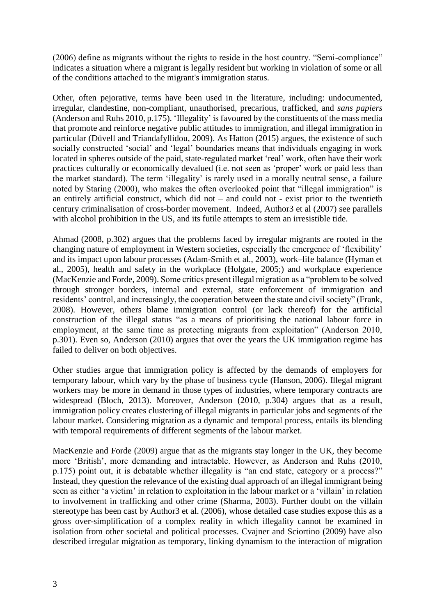(2006) define as migrants without the rights to reside in the host country. "Semi-compliance" indicates a situation where a migrant is legally resident but working in violation of some or all of the conditions attached to the migrant's immigration status.

Other, often pejorative, terms have been used in the literature, including: undocumented, irregular, clandestine, non-compliant, unauthorised, precarious, trafficked, and *sans papiers* (Anderson and Ruhs 2010, p.175). 'Illegality' is favoured by the constituents of the mass media that promote and reinforce negative public attitudes to immigration, and illegal immigration in particular (Düvell and Triandafyllidou, 2009). As Hatton (2015) argues, the existence of such socially constructed 'social' and 'legal' boundaries means that individuals engaging in work located in spheres outside of the paid, state-regulated market 'real' work, often have their work practices culturally or economically devalued (i.e. not seen as 'proper' work or paid less than the market standard). The term 'illegality' is rarely used in a morally neutral sense, a failure noted by Staring (2000), who makes the often overlooked point that "illegal immigration" is an entirely artificial construct, which did not – and could not - exist prior to the twentieth century criminalisation of cross-border movement. Indeed, Author3 et al (2007) see parallels with alcohol prohibition in the US, and its futile attempts to stem an irresistible tide.

Ahmad (2008, p.302) argues that the problems faced by irregular migrants are rooted in the changing nature of employment in Western societies, especially the emergence of 'flexibility' and its impact upon labour processes (Adam-Smith et al., 2003), work–life balance (Hyman et al., 2005), health and safety in the workplace (Holgate, 2005;) and workplace experience (MacKenzie and Forde, 2009). Some critics present illegal migration as a "problem to be solved through stronger borders, internal and external, state enforcement of immigration and residents' control, and increasingly, the cooperation between the state and civil society" (Frank, 2008). However, others blame immigration control (or lack thereof) for the artificial construction of the illegal status "as a means of prioritising the national labour force in employment, at the same time as protecting migrants from exploitation" (Anderson 2010, p.301). Even so, Anderson (2010) argues that over the years the UK immigration regime has failed to deliver on both objectives.

Other studies argue that immigration policy is affected by the demands of employers for temporary labour, which vary by the phase of business cycle (Hanson, 2006). Illegal migrant workers may be more in demand in those types of industries, where temporary contracts are widespread (Bloch, 2013). Moreover, Anderson (2010, p.304) argues that as a result, immigration policy creates clustering of illegal migrants in particular jobs and segments of the labour market. Considering migration as a dynamic and temporal process, entails its blending with temporal requirements of different segments of the labour market.

MacKenzie and Forde (2009) argue that as the migrants stay longer in the UK, they become more 'British', more demanding and intractable. However, as Anderson and Ruhs (2010, p.175) point out, it is debatable whether illegality is "an end state, category or a process?" Instead, they question the relevance of the existing dual approach of an illegal immigrant being seen as either 'a victim' in relation to exploitation in the labour market or a 'villain' in relation to involvement in trafficking and other crime (Sharma, 2003). Further doubt on the villain stereotype has been cast by Author3 et al. (2006), whose detailed case studies expose this as a gross over-simplification of a complex reality in which illegality cannot be examined in isolation from other societal and political processes. Cvajner and Sciortino (2009) have also described irregular migration as temporary, linking dynamism to the interaction of migration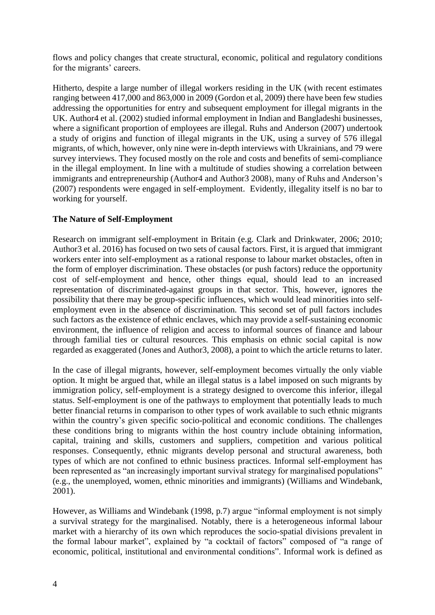flows and policy changes that create structural, economic, political and regulatory conditions for the migrants' careers.

Hitherto, despite a large number of illegal workers residing in the UK (with recent estimates ranging between 417,000 and 863,000 in 2009 (Gordon et al, 2009) there have been few studies addressing the opportunities for entry and subsequent employment for illegal migrants in the UK. Author4 et al. (2002) studied informal employment in Indian and Bangladeshi businesses, where a significant proportion of employees are illegal. Ruhs and Anderson (2007) undertook a study of origins and function of illegal migrants in the UK, using a survey of 576 illegal migrants, of which, however, only nine were in-depth interviews with Ukrainians, and 79 were survey interviews. They focused mostly on the role and costs and benefits of semi-compliance in the illegal employment. In line with a multitude of studies showing a correlation between immigrants and entrepreneurship (Author4 and Author3 2008), many of Ruhs and Anderson's (2007) respondents were engaged in self-employment. Evidently, illegality itself is no bar to working for yourself.

## **The Nature of Self-Employment**

Research on immigrant self-employment in Britain (e.g. Clark and Drinkwater, 2006; 2010; Author3 et al. 2016) has focused on two sets of causal factors. First, it is argued that immigrant workers enter into self-employment as a rational response to labour market obstacles, often in the form of employer discrimination. These obstacles (or push factors) reduce the opportunity cost of self-employment and hence, other things equal, should lead to an increased representation of discriminated-against groups in that sector. This, however, ignores the possibility that there may be group-specific influences, which would lead minorities into selfemployment even in the absence of discrimination. This second set of pull factors includes such factors as the existence of ethnic enclaves, which may provide a self-sustaining economic environment, the influence of religion and access to informal sources of finance and labour through familial ties or cultural resources. This emphasis on ethnic social capital is now regarded as exaggerated (Jones and Author3, 2008), a point to which the article returns to later.

In the case of illegal migrants, however, self-employment becomes virtually the only viable option. It might be argued that, while an illegal status is a label imposed on such migrants by immigration policy, self-employment is a strategy designed to overcome this inferior, illegal status. Self-employment is one of the pathways to employment that potentially leads to much better financial returns in comparison to other types of work available to such ethnic migrants within the country's given specific socio-political and economic conditions. The challenges these conditions bring to migrants within the host country include obtaining information, capital, training and skills, customers and suppliers, competition and various political responses. Consequently, ethnic migrants develop personal and structural awareness, both types of which are not confined to ethnic business practices. Informal self-employment has been represented as "an increasingly important survival strategy for marginalised populations" (e.g., the unemployed, women, ethnic minorities and immigrants) (Williams and Windebank, 2001).

However, as Williams and Windebank (1998, p.7) argue "informal employment is not simply a survival strategy for the marginalised. Notably, there is a heterogeneous informal labour market with a hierarchy of its own which reproduces the socio-spatial divisions prevalent in the formal labour market", explained by "a cocktail of factors" composed of "a range of economic, political, institutional and environmental conditions". Informal work is defined as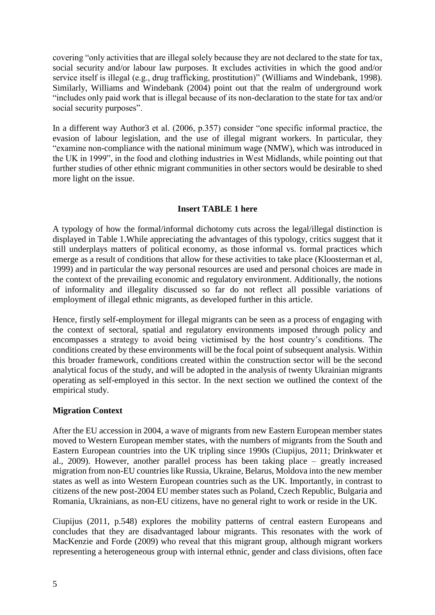covering "only activities that are illegal solely because they are not declared to the state for tax, social security and/or labour law purposes. It excludes activities in which the good and/or service itself is illegal (e.g., drug trafficking, prostitution)" (Williams and Windebank, 1998). Similarly, Williams and Windebank (2004) point out that the realm of underground work "includes only paid work that is illegal because of its non-declaration to the state for tax and/or social security purposes".

In a different way Author3 et al. (2006, p.357) consider "one specific informal practice, the evasion of labour legislation, and the use of illegal migrant workers. In particular, they "examine non-compliance with the national minimum wage (NMW), which was introduced in the UK in 1999", in the food and clothing industries in West Midlands, while pointing out that further studies of other ethnic migrant communities in other sectors would be desirable to shed more light on the issue.

## **Insert TABLE 1 here**

A typology of how the formal/informal dichotomy cuts across the legal/illegal distinction is displayed in Table 1.While appreciating the advantages of this typology, critics suggest that it still underplays matters of political economy, as those informal vs. formal practices which emerge as a result of conditions that allow for these activities to take place (Kloosterman et al, 1999) and in particular the way personal resources are used and personal choices are made in the context of the prevailing economic and regulatory environment. Additionally, the notions of informality and illegality discussed so far do not reflect all possible variations of employment of illegal ethnic migrants, as developed further in this article.

Hence, firstly self-employment for illegal migrants can be seen as a process of engaging with the context of sectoral, spatial and regulatory environments imposed through policy and encompasses a strategy to avoid being victimised by the host country's conditions. The conditions created by these environments will be the focal point of subsequent analysis. Within this broader framework, conditions created within the construction sector will be the second analytical focus of the study, and will be adopted in the analysis of twenty Ukrainian migrants operating as self-employed in this sector. In the next section we outlined the context of the empirical study.

## **Migration Context**

After the EU accession in 2004, a wave of migrants from new Eastern European member states moved to Western European member states, with the numbers of migrants from the South and Eastern European countries into the UK tripling since 1990s (Ciupijus, 2011; Drinkwater et al., 2009). However, another parallel process has been taking place – greatly increased migration from non-EU countries like Russia, Ukraine, Belarus, Moldova into the new member states as well as into Western European countries such as the UK. Importantly, in contrast to citizens of the new post-2004 EU member states such as Poland, Czech Republic, Bulgaria and Romania, Ukrainians, as non-EU citizens, have no general right to work or reside in the UK.

Ciupijus (2011, p.548) explores the mobility patterns of central eastern Europeans and concludes that they are disadvantaged labour migrants. This resonates with the work of MacKenzie and Forde (2009) who reveal that this migrant group, although migrant workers representing a heterogeneous group with internal ethnic, gender and class divisions, often face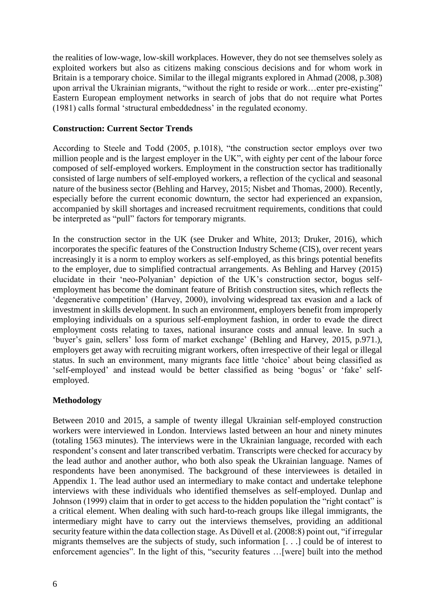the realities of low-wage, low-skill workplaces. However, they do not see themselves solely as exploited workers but also as citizens making conscious decisions and for whom work in Britain is a temporary choice. Similar to the illegal migrants explored in Ahmad (2008, p.308) upon arrival the Ukrainian migrants, "without the right to reside or work...enter pre-existing" Eastern European employment networks in search of jobs that do not require what Portes (1981) calls formal 'structural embeddedness' in the regulated economy.

#### **Construction: Current Sector Trends**

According to Steele and Todd (2005, p.1018), "the construction sector employs over two million people and is the largest employer in the UK", with eighty per cent of the labour force composed of self-employed workers. Employment in the construction sector has traditionally consisted of large numbers of self-employed workers, a reflection of the cyclical and seasonal nature of the business sector (Behling and Harvey, 2015; Nisbet and Thomas, 2000). Recently, especially before the current economic downturn, the sector had experienced an expansion, accompanied by skill shortages and increased recruitment requirements, conditions that could be interpreted as "pull" factors for temporary migrants.

In the construction sector in the UK (see Druker and White, 2013; Druker, 2016), which incorporates the specific features of the Construction Industry Scheme (CIS), over recent years increasingly it is a norm to employ workers as self-employed, as this brings potential benefits to the employer, due to simplified contractual arrangements. As Behling and Harvey (2015) elucidate in their 'neo-Polyanian' depiction of the UK's construction sector, bogus selfemployment has become the dominant feature of British construction sites, which reflects the 'degenerative competition' (Harvey, 2000), involving widespread tax evasion and a lack of investment in skills development. In such an environment, employers benefit from improperly employing individuals on a spurious self-employment fashion, in order to evade the direct employment costs relating to taxes, national insurance costs and annual leave. In such a 'buyer's gain, sellers' loss form of market exchange' (Behling and Harvey, 2015, p.971.), employers get away with recruiting migrant workers, often irrespective of their legal or illegal status. In such an environment, many migrants face little 'choice' about being classified as 'self-employed' and instead would be better classified as being 'bogus' or 'fake' selfemployed.

## **Methodology**

Between 2010 and 2015, a sample of twenty illegal Ukrainian self-employed construction workers were interviewed in London. Interviews lasted between an hour and ninety minutes (totaling 1563 minutes). The interviews were in the Ukrainian language, recorded with each respondent's consent and later transcribed verbatim. Transcripts were checked for accuracy by the lead author and another author, who both also speak the Ukrainian language. Names of respondents have been anonymised. The background of these interviewees is detailed in Appendix 1. The lead author used an intermediary to make contact and undertake telephone interviews with these individuals who identified themselves as self-employed. Dunlap and Johnson (1999) claim that in order to get access to the hidden population the "right contact" is a critical element. When dealing with such hard-to-reach groups like illegal immigrants, the intermediary might have to carry out the interviews themselves, providing an additional security feature within the data collection stage. As Düvell et al. (2008:8) point out, "if irregular migrants themselves are the subjects of study, such information [. . .] could be of interest to enforcement agencies". In the light of this, "security features …[were] built into the method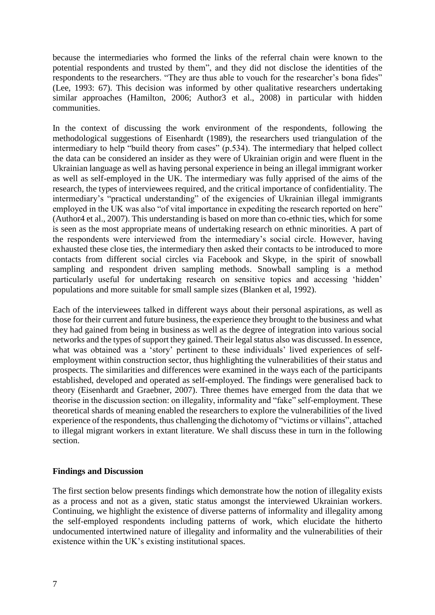because the intermediaries who formed the links of the referral chain were known to the potential respondents and trusted by them", and they did not disclose the identities of the respondents to the researchers. "They are thus able to vouch for the researcher's bona fides" (Lee, 1993: 67). This decision was informed by other qualitative researchers undertaking similar approaches (Hamilton, 2006; Author3 et al., 2008) in particular with hidden communities.

In the context of discussing the work environment of the respondents, following the methodological suggestions of Eisenhardt (1989), the researchers used triangulation of the intermediary to help "build theory from cases" (p.534). The intermediary that helped collect the data can be considered an insider as they were of Ukrainian origin and were fluent in the Ukrainian language as well as having personal experience in being an illegal immigrant worker as well as self-employed in the UK. The intermediary was fully apprised of the aims of the research, the types of interviewees required, and the critical importance of confidentiality. The intermediary's "practical understanding" of the exigencies of Ukrainian illegal immigrants employed in the UK was also "of vital importance in expediting the research reported on here" (Author4 et al., 2007). This understanding is based on more than co-ethnic ties, which for some is seen as the most appropriate means of undertaking research on ethnic minorities. A part of the respondents were interviewed from the intermediary's social circle. However, having exhausted these close ties, the intermediary then asked their contacts to be introduced to more contacts from different social circles via Facebook and Skype, in the spirit of snowball sampling and respondent driven sampling methods. Snowball sampling is a method particularly useful for undertaking research on sensitive topics and accessing 'hidden' populations and more suitable for small sample sizes (Blanken et al, 1992).

Each of the interviewees talked in different ways about their personal aspirations, as well as those for their current and future business, the experience they brought to the business and what they had gained from being in business as well as the degree of integration into various social networks and the types of support they gained. Their legal status also was discussed. In essence, what was obtained was a 'story' pertinent to these individuals' lived experiences of selfemployment within construction sector, thus highlighting the vulnerabilities of their status and prospects. The similarities and differences were examined in the ways each of the participants established, developed and operated as self-employed. The findings were generalised back to theory (Eisenhardt and Graebner, 2007). Three themes have emerged from the data that we theorise in the discussion section: on illegality, informality and "fake" self-employment. These theoretical shards of meaning enabled the researchers to explore the vulnerabilities of the lived experience of the respondents, thus challenging the dichotomy of "victims or villains", attached to illegal migrant workers in extant literature. We shall discuss these in turn in the following section.

#### **Findings and Discussion**

The first section below presents findings which demonstrate how the notion of illegality exists as a process and not as a given, static status amongst the interviewed Ukrainian workers. Continuing, we highlight the existence of diverse patterns of informality and illegality among the self-employed respondents including patterns of work, which elucidate the hitherto undocumented intertwined nature of illegality and informality and the vulnerabilities of their existence within the UK's existing institutional spaces.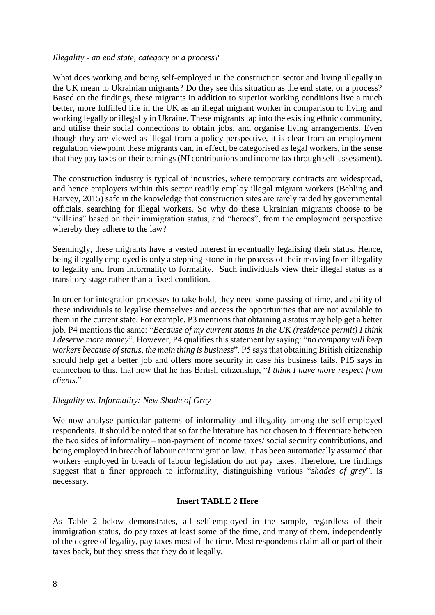#### *Illegality - an end state, category or a process?*

What does working and being self-employed in the construction sector and living illegally in the UK mean to Ukrainian migrants? Do they see this situation as the end state, or a process? Based on the findings, these migrants in addition to superior working conditions live a much better, more fulfilled life in the UK as an illegal migrant worker in comparison to living and working legally or illegally in Ukraine. These migrants tap into the existing ethnic community, and utilise their social connections to obtain jobs, and organise living arrangements. Even though they are viewed as illegal from a policy perspective, it is clear from an employment regulation viewpoint these migrants can, in effect, be categorised as legal workers, in the sense that they pay taxes on their earnings (NI contributions and income tax through self-assessment).

The construction industry is typical of industries, where temporary contracts are widespread, and hence employers within this sector readily employ illegal migrant workers (Behling and Harvey, 2015) safe in the knowledge that construction sites are rarely raided by governmental officials, searching for illegal workers. So why do these Ukrainian migrants choose to be "villains" based on their immigration status, and "heroes", from the employment perspective whereby they adhere to the law?

Seemingly, these migrants have a vested interest in eventually legalising their status. Hence, being illegally employed is only a stepping-stone in the process of their moving from illegality to legality and from informality to formality. Such individuals view their illegal status as a transitory stage rather than a fixed condition.

In order for integration processes to take hold, they need some passing of time, and ability of these individuals to legalise themselves and access the opportunities that are not available to them in the current state. For example, P3 mentions that obtaining a status may help get a better job. P4 mentions the same: "*Because of my current status in the UK (residence permit) I think I deserve more money*". However, P4 qualifies this statement by saying: "*no company will keep workers because of status, the main thing is business*". P5 says that obtaining British citizenship should help get a better job and offers more security in case his business fails. P15 says in connection to this, that now that he has British citizenship, "*I think I have more respect from clients*."

#### *Illegality vs. Informality: New Shade of Grey*

We now analyse particular patterns of informality and illegality among the self-employed respondents. It should be noted that so far the literature has not chosen to differentiate between the two sides of informality – non-payment of income taxes/ social security contributions, and being employed in breach of labour or immigration law. It has been automatically assumed that workers employed in breach of labour legislation do not pay taxes. Therefore, the findings suggest that a finer approach to informality, distinguishing various "*shades of grey*", is necessary.

## **Insert TABLE 2 Here**

As Table 2 below demonstrates, all self-employed in the sample, regardless of their immigration status, do pay taxes at least some of the time, and many of them, independently of the degree of legality, pay taxes most of the time. Most respondents claim all or part of their taxes back, but they stress that they do it legally.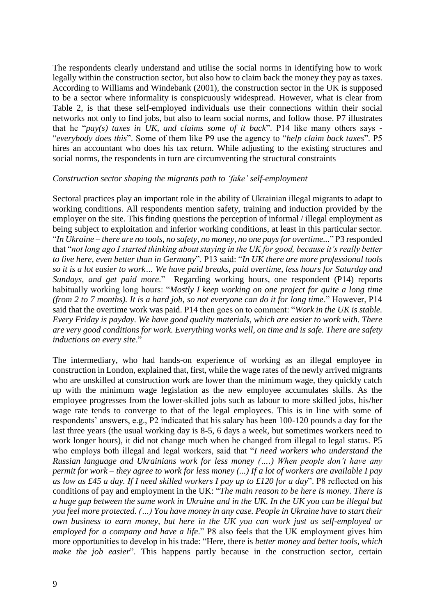The respondents clearly understand and utilise the social norms in identifying how to work legally within the construction sector, but also how to claim back the money they pay as taxes. According to Williams and Windebank (2001), the construction sector in the UK is supposed to be a sector where informality is conspicuously widespread. However, what is clear from Table 2, is that these self-employed individuals use their connections within their social networks not only to find jobs, but also to learn social norms, and follow those. P7 illustrates that he "*pay(s) taxes in UK, and claims some of it back*". P14 like many others says - "*everybody does this*". Some of them like P9 use the agency to "*help claim back taxes*". P5 hires an accountant who does his tax return. While adjusting to the existing structures and social norms, the respondents in turn are circumventing the structural constraints

#### *Construction sector shaping the migrants path to 'fake' self-employment*

Sectoral practices play an important role in the ability of Ukrainian illegal migrants to adapt to working conditions. All respondents mention safety, training and induction provided by the employer on the site. This finding questions the perception of informal / illegal employment as being subject to exploitation and inferior working conditions, at least in this particular sector. "*In Ukraine – there are no tools, no safety, no money, no one pays for overtime...*" P3 responded that "*not long ago I started thinking about staying in the UK for good, because it's really better to live here, even better than in Germany*". P13 said: "*In UK there are more professional tools so it is a lot easier to work… We have paid breaks, paid overtime, less hours for Saturday and Sundays, and get paid more*." Regarding working hours, one respondent (P14) reports habitually working long hours: "*Mostly I keep working on one project for quite a long time (from 2 to 7 months). It is a hard job, so not everyone can do it for long time*." However, P14 said that the overtime work was paid. P14 then goes on to comment: "*Work in the UK is stable. Every Friday is payday. We have good quality materials, which are easier to work with. There are very good conditions for work. Everything works well, on time and is safe. There are safety inductions on every site*."

The intermediary, who had hands-on experience of working as an illegal employee in construction in London, explained that, first, while the wage rates of the newly arrived migrants who are unskilled at construction work are lower than the minimum wage, they quickly catch up with the minimum wage legislation as the new employee accumulates skills. As the employee progresses from the lower-skilled jobs such as labour to more skilled jobs, his/her wage rate tends to converge to that of the legal employees. This is in line with some of respondents' answers, e.g., P2 indicated that his salary has been 100-120 pounds a day for the last three years (the usual working day is 8-5, 6 days a week, but sometimes workers need to work longer hours), it did not change much when he changed from illegal to legal status. P5 who employs both illegal and legal workers, said that "*I need workers who understand the Russian language and Ukrainians work for less money (….) When people don't have any permit for work – they agree to work for less money (...) If a lot of workers are available I pay as low as £45 a day. If I need skilled workers I pay up to £120 for a day*". P8 reflected on his conditions of pay and employment in the UK: "*The main reason to be here is money. There is a huge gap between the same work in Ukraine and in the UK. In the UK you can be illegal but you feel more protected. (…) You have money in any case. People in Ukraine have to start their own business to earn money, but here in the UK you can work just as self-employed or employed for a company and have a life*." P8 also feels that the UK employment gives him more opportunities to develop in his trade: "Here, there is *better money and better tools, which make the job easier*". This happens partly because in the construction sector, certain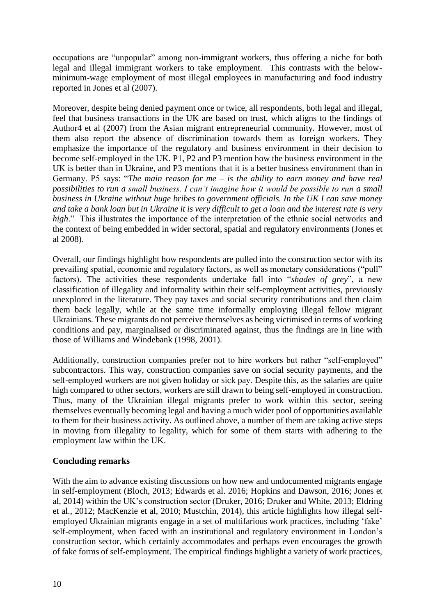occupations are "unpopular" among non-immigrant workers, thus offering a niche for both legal and illegal immigrant workers to take employment. This contrasts with the belowminimum-wage employment of most illegal employees in manufacturing and food industry reported in Jones et al (2007).

Moreover, despite being denied payment once or twice, all respondents, both legal and illegal, feel that business transactions in the UK are based on trust, which aligns to the findings of Author4 et al (2007) from the Asian migrant entrepreneurial community. However, most of them also report the absence of discrimination towards them as foreign workers. They emphasize the importance of the regulatory and business environment in their decision to become self-employed in the UK. P1, P2 and P3 mention how the business environment in the UK is better than in Ukraine, and P3 mentions that it is a better business environment than in Germany. P5 says: "*The main reason for me – is the ability to earn money and have real possibilities to run a small business. I can't imagine how it would be possible to run a small business in Ukraine without huge bribes to government officials. In the UK I can save money and take a bank loan but in Ukraine it is very difficult to get a loan and the interest rate is very high*." This illustrates the importance of the interpretation of the ethnic social networks and the context of being embedded in wider sectoral, spatial and regulatory environments (Jones et al 2008).

Overall, our findings highlight how respondents are pulled into the construction sector with its prevailing spatial, economic and regulatory factors, as well as monetary considerations ("pull" factors). The activities these respondents undertake fall into "*shades of grey*", a new classification of illegality and informality within their self-employment activities, previously unexplored in the literature. They pay taxes and social security contributions and then claim them back legally, while at the same time informally employing illegal fellow migrant Ukrainians. These migrants do not perceive themselves as being victimised in terms of working conditions and pay, marginalised or discriminated against, thus the findings are in line with those of Williams and Windebank (1998, 2001).

Additionally, construction companies prefer not to hire workers but rather "self-employed" subcontractors. This way, construction companies save on social security payments, and the self-employed workers are not given holiday or sick pay. Despite this, as the salaries are quite high compared to other sectors, workers are still drawn to being self-employed in construction. Thus, many of the Ukrainian illegal migrants prefer to work within this sector, seeing themselves eventually becoming legal and having a much wider pool of opportunities available to them for their business activity. As outlined above, a number of them are taking active steps in moving from illegality to legality, which for some of them starts with adhering to the employment law within the UK.

## **Concluding remarks**

With the aim to advance existing discussions on how new and undocumented migrants engage in self-employment (Bloch, 2013; Edwards et al. 2016; Hopkins and Dawson, 2016; Jones et al, 2014) within the UK's construction sector (Druker, 2016; Druker and White, 2013; Eldring et al., 2012; MacKenzie et al, 2010; Mustchin, 2014), this article highlights how illegal selfemployed Ukrainian migrants engage in a set of multifarious work practices, including 'fake' self-employment, when faced with an institutional and regulatory environment in London's construction sector, which certainly accommodates and perhaps even encourages the growth of fake forms of self-employment. The empirical findings highlight a variety of work practices,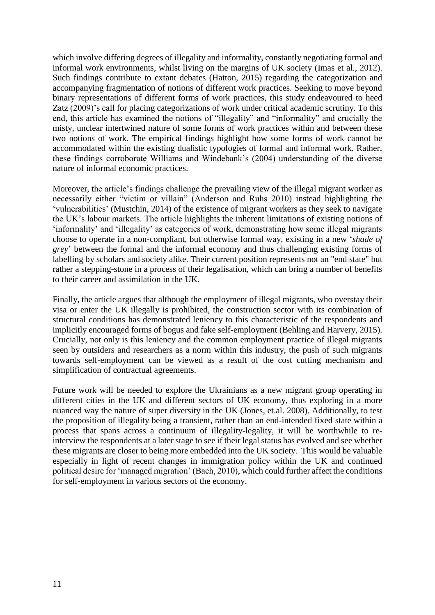which involve differing degrees of illegality and informality, constantly negotiating formal and informal work environments, whilst living on the margins of UK society (Imas et al., 2012). Such findings contribute to extant debates (Hatton, 2015) regarding the categorization and accompanying fragmentation of notions of different work practices. Seeking to move beyond binary representations of different forms of work practices, this study endeavoured to heed Zatz (2009)'s call for placing categorizations of work under critical academic scrutiny. To this end, this article has examined the notions of "illegality" and "informality" and crucially the misty, unclear intertwined nature of some forms of work practices within and between these two notions of work. The empirical findings highlight how some forms of work cannot be accommodated within the existing dualistic typologies of formal and informal work. Rather, these findings corroborate Williams and Windebank's (2004) understanding of the diverse nature of informal economic practices.

Moreover, the article's findings challenge the prevailing view of the illegal migrant worker as necessarily either "victim or villain" (Anderson and Ruhs 2010) instead highlighting the 'vulnerabilities' (Mustchin, 2014) of the existence of migrant workers as they seek to navigate the UK's labour markets. The article highlights the inherent limitations of existing notions of 'informality' and 'illegality' as categories of work, demonstrating how some illegal migrants choose to operate in a non-compliant, but otherwise formal way, existing in a new '*shade of grey*' between the formal and the informal economy and thus challenging existing forms of labelling by scholars and society alike. Their current position represents not an "end state" but rather a stepping-stone in a process of their legalisation, which can bring a number of benefits to their career and assimilation in the UK.

Finally, the article argues that although the employment of illegal migrants, who overstay their visa or enter the UK illegally is prohibited, the construction sector with its combination of structural conditions has demonstrated leniency to this characteristic of the respondents and implicitly encouraged forms of bogus and fake self-employment (Behling and Harvery, 2015). Crucially, not only is this leniency and the common employment practice of illegal migrants seen by outsiders and researchers as a norm within this industry, the push of such migrants towards self-employment can be viewed as a result of the cost cutting mechanism and simplification of contractual agreements.

Future work will be needed to explore the Ukrainians as a new migrant group operating in different cities in the UK and different sectors of UK economy, thus exploring in a more nuanced way the nature of super diversity in the UK (Jones, et.al. 2008). Additionally, to test the proposition of illegality being a transient, rather than an end-intended fixed state within a process that spans across a continuum of illegality-legality, it will be worthwhile to reinterview the respondents at a later stage to see if their legal status has evolved and see whether these migrants are closer to being more embedded into the UK society. This would be valuable especially in light of recent changes in immigration policy within the UK and continued political desire for 'managed migration' (Bach, 2010), which could further affect the conditions for self-employment in various sectors of the economy.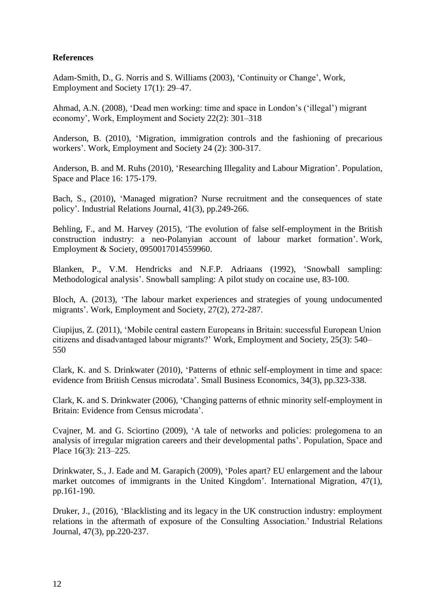## **References**

Adam-Smith, D., G. Norris and S. Williams (2003), 'Continuity or Change', Work, Employment and Society 17(1): 29–47.

Ahmad, A.N. (2008), 'Dead men working: time and space in London's ('illegal') migrant economy', Work, Employment and Society 22(2): 301–318

Anderson, B. (2010), 'Migration, immigration controls and the fashioning of precarious workers'. Work, Employment and Society 24 (2): 300-317.

Anderson, B. and M. Ruhs (2010), 'Researching Illegality and Labour Migration'. Population, Space and Place 16: 175-179.

Bach, S., (2010), 'Managed migration? Nurse recruitment and the consequences of state policy'. Industrial Relations Journal, 41(3), pp.249-266.

Behling, F., and M. Harvey (2015), 'The evolution of false self-employment in the British construction industry: a neo-Polanyian account of labour market formation'. Work, Employment & Society, 0950017014559960.

Blanken, P., V.M. Hendricks and N.F.P. Adriaans (1992), 'Snowball sampling: Methodological analysis'. Snowball sampling: A pilot study on cocaine use, 83-100.

Bloch, A. (2013), 'The labour market experiences and strategies of young undocumented migrants'. Work, Employment and Society, 27(2), 272-287.

Ciupijus, Z. (2011), 'Mobile central eastern Europeans in Britain: successful European Union citizens and disadvantaged labour migrants?' Work, Employment and Society, 25(3): 540– 550

Clark, K. and S. Drinkwater (2010), 'Patterns of ethnic self-employment in time and space: evidence from British Census microdata'. Small Business Economics, 34(3), pp.323-338.

Clark, K. and S. Drinkwater (2006), 'Changing patterns of ethnic minority self-employment in Britain: Evidence from Census microdata'.

Cvajner, M. and G. Sciortino (2009), 'A tale of networks and policies: prolegomena to an analysis of irregular migration careers and their developmental paths'. Population, Space and Place 16(3): 213–225.

Drinkwater, S., J. Eade and M. Garapich (2009), 'Poles apart? EU enlargement and the labour market outcomes of immigrants in the United Kingdom'. International Migration, 47(1), pp.161-190.

Druker, J., (2016), 'Blacklisting and its legacy in the UK construction industry: employment relations in the aftermath of exposure of the Consulting Association.' Industrial Relations Journal, 47(3), pp.220-237.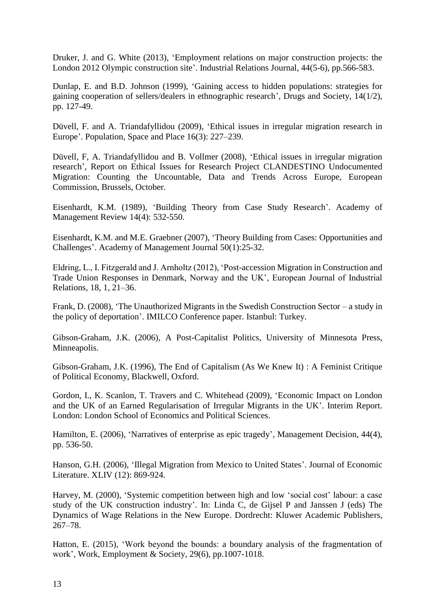Druker, J. and G. White (2013), 'Employment relations on major construction projects: the London 2012 Olympic construction site'. Industrial Relations Journal, 44(5-6), pp.566-583.

Dunlap, E. and B.D. Johnson (1999), 'Gaining access to hidden populations: strategies for gaining cooperation of sellers/dealers in ethnographic research', Drugs and Society, 14(1/2), pp. 127-49.

Düvell, F. and A. Triandafyllidou (2009), 'Ethical issues in irregular migration research in Europe'. Population, Space and Place 16(3): 227–239.

Düvell, F, A. Triandafyllidou and B. Vollmer (2008), 'Ethical issues in irregular migration research', Report on Ethical Issues for Research Project CLANDESTINO Undocumented Migration: Counting the Uncountable, Data and Trends Across Europe, European Commission, Brussels, October.

Eisenhardt, K.M. (1989), 'Building Theory from Case Study Research'. Academy of Management Review 14(4): 532-550.

Eisenhardt, K.M. and M.E. Graebner (2007), 'Theory Building from Cases: Opportunities and Challenges'. Academy of Management Journal 50(1):25-32.

Eldring, L., I. Fitzgerald and J. Arnholtz (2012), 'Post-accession Migration in Construction and Trade Union Responses in Denmark, Norway and the UK', European Journal of Industrial Relations, 18, 1, 21–36.

Frank, D. (2008), 'The Unauthorized Migrants in the Swedish Construction Sector – a study in the policy of deportation'. IMILCO Conference paper. Istanbul: Turkey.

Gibson-Graham, J.K. (2006), A Post-Capitalist Politics, University of Minnesota Press, Minneapolis.

Gibson-Graham, J.K. (1996), The End of Capitalism (As We Knew It) : A Feminist Critique of Political Economy, Blackwell, Oxford.

Gordon, I., K. Scanlon, T. Travers and C. Whitehead (2009), 'Economic Impact on London and the UK of an Earned Regularisation of Irregular Migrants in the UK'. Interim Report. London: London School of Economics and Political Sciences.

Hamilton, E. (2006), 'Narratives of enterprise as epic tragedy', Management Decision, 44(4), pp. 536-50.

Hanson, G.H. (2006), 'Illegal Migration from Mexico to United States'. Journal of Economic Literature. XLIV (12): 869-924.

Harvey, M. (2000), 'Systemic competition between high and low 'social cost' labour: a case study of the UK construction industry'. In: Linda C, de Gijsel P and Janssen J (eds) The Dynamics of Wage Relations in the New Europe. Dordrecht: Kluwer Academic Publishers, 267–78.

Hatton, E. (2015), 'Work beyond the bounds: a boundary analysis of the fragmentation of work', Work, Employment & Society, 29(6), pp.1007-1018.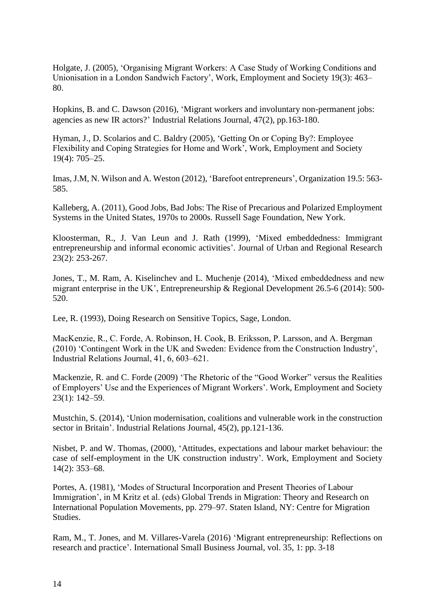Holgate, J. (2005), 'Organising Migrant Workers: A Case Study of Working Conditions and Unionisation in a London Sandwich Factory', Work, Employment and Society 19(3): 463– 80.

Hopkins, B. and C. Dawson (2016), 'Migrant workers and involuntary non-permanent jobs: agencies as new IR actors?' Industrial Relations Journal, 47(2), pp.163-180.

Hyman, J., D. Scolarios and C. Baldry (2005), 'Getting On or Coping By?: Employee Flexibility and Coping Strategies for Home and Work', Work, Employment and Society 19(4): 705–25.

Imas, J.M, N. Wilson and A. Weston (2012), 'Barefoot entrepreneurs', Organization 19.5: 563- 585.

Kalleberg, A. (2011), Good Jobs, Bad Jobs: The Rise of Precarious and Polarized Employment Systems in the United States, 1970s to 2000s. Russell Sage Foundation, New York.

Kloosterman, R., J. Van Leun and J. Rath (1999), 'Mixed embeddedness: Immigrant entrepreneurship and informal economic activities'. Journal of Urban and Regional Research 23(2): 253-267.

Jones, T., M. Ram, A. Kiselinchev and L. Muchenje (2014), 'Mixed embeddedness and new migrant enterprise in the UK', Entrepreneurship & Regional Development 26.5-6 (2014): 500- 520.

Lee, R. (1993), Doing Research on Sensitive Topics, Sage, London.

MacKenzie, R., C. Forde, A. Robinson, H. Cook, B. Eriksson, P. Larsson, and A. Bergman (2010) 'Contingent Work in the UK and Sweden: Evidence from the Construction Industry', Industrial Relations Journal, 41, 6, 603–621.

Mackenzie, R. and C. Forde (2009) 'The Rhetoric of the "Good Worker" versus the Realities of Employers' Use and the Experiences of Migrant Workers'. Work, Employment and Society 23(1): 142–59.

Mustchin, S. (2014), 'Union modernisation, coalitions and vulnerable work in the construction sector in Britain'. Industrial Relations Journal, 45(2), pp.121-136.

Nisbet, P. and W. Thomas, (2000), 'Attitudes, expectations and labour market behaviour: the case of self-employment in the UK construction industry'. Work, Employment and Society 14(2): 353–68.

Portes, A. (1981), 'Modes of Structural Incorporation and Present Theories of Labour Immigration', in M Kritz et al. (eds) Global Trends in Migration: Theory and Research on International Population Movements, pp. 279–97. Staten Island, NY: Centre for Migration Studies.

Ram, M., T. Jones, and M. Villares-Varela (2016) 'Migrant entrepreneurship: Reflections on research and practice'. International Small Business Journal, vol. 35, 1: pp. 3-18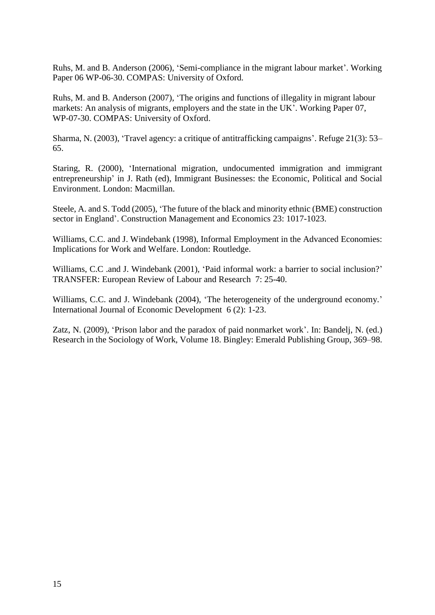Ruhs, M. and B. Anderson (2006), 'Semi-compliance in the migrant labour market'. Working Paper 06 WP-06-30. COMPAS: University of Oxford.

Ruhs, M. and B. Anderson (2007), 'The origins and functions of illegality in migrant labour markets: An analysis of migrants, employers and the state in the UK'. Working Paper 07, WP-07-30. COMPAS: University of Oxford.

Sharma, N. (2003), 'Travel agency: a critique of antitrafficking campaigns'. Refuge 21(3): 53– 65.

Staring, R. (2000), 'International migration, undocumented immigration and immigrant entrepreneurship' in J. Rath (ed), Immigrant Businesses: the Economic, Political and Social Environment. London: Macmillan.

Steele, A. and S. Todd (2005), 'The future of the black and minority ethnic (BME) construction sector in England'. Construction Management and Economics 23: 1017-1023.

Williams, C.C. and J. Windebank (1998), Informal Employment in the Advanced Economies: Implications for Work and Welfare. London: Routledge.

Williams, C.C .and J. Windebank (2001), 'Paid informal work: a barrier to social inclusion?' TRANSFER: European Review of Labour and Research 7: 25-40.

Williams, C.C. and J. Windebank (2004), 'The heterogeneity of the underground economy.' International Journal of Economic Development 6 (2): 1-23.

Zatz, N. (2009), 'Prison labor and the paradox of paid nonmarket work'. In: Bandelj, N. (ed.) Research in the Sociology of Work, Volume 18. Bingley: Emerald Publishing Group, 369–98.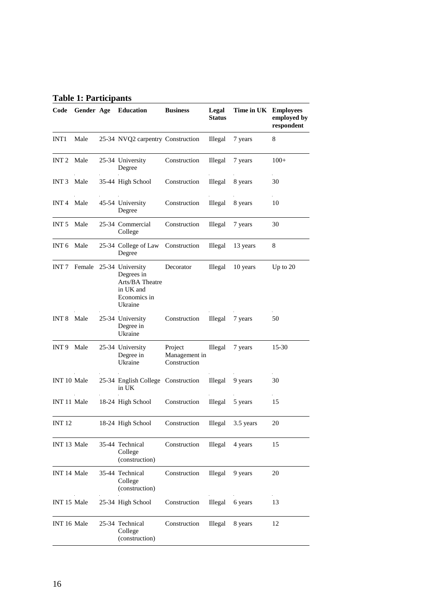## **Table 1: Participants**

| Code                   |              | Gender Age Education                                                                      | <b>Business</b>                          | Legal<br><b>Status</b> | Time in UK Employees | employed by<br>respondent |
|------------------------|--------------|-------------------------------------------------------------------------------------------|------------------------------------------|------------------------|----------------------|---------------------------|
| INT <sub>1</sub>       | Male         | 25-34 NVQ2 carpentry Construction                                                         |                                          | Illegal                | 7 years              | 8                         |
| INT <sub>2</sub>       | Male         | 25-34 University<br>Degree                                                                | Construction                             | Illegal                | 7 years              | $100+$                    |
| INT <sub>3</sub>       | Male         | 35-44 High School                                                                         | Construction                             | Illegal                | 8 years              | 30                        |
| INT <sub>4</sub>       | Male         | 45-54 University<br>Degree                                                                | Construction                             | Illegal                | 8 years              | 10                        |
| INT <sub>5</sub>       | Male         | 25-34 Commercial<br>College                                                               | Construction                             | Illegal                | 7 years              | 30                        |
| INT <sub>6</sub>       | Male         | 25-34 College of Law<br>Degree                                                            | Construction                             | Illegal                | 13 years             | 8                         |
|                        | INT 7 Female | 25-34 University<br>Degrees in<br>Arts/BA Theatre<br>in UK and<br>Economics in<br>Ukraine | Decorator                                | Illegal                | 10 years             | Up to $20$                |
| INT 8                  | Male         | 25-34 University<br>Degree in<br>Ukraine                                                  | Construction                             | Illegal                | 7 years              | 50                        |
| INT 9                  | Male         | 25-34 University<br>Degree in<br>Ukraine                                                  | Project<br>Management in<br>Construction | Illegal                | 7 years              | $15-30$                   |
| INT 10 Male            |              | 25-34 English College Construction<br>in UK                                               |                                          | Illegal                | 9 years              | 30                        |
| INT 11 Male            |              | 18-24 High School                                                                         | Construction                             | Illegal                | 5 years              | 15                        |
| INT 12                 |              | 18-24 High School                                                                         | Construction                             | Illegal                | 3.5 years            | 20                        |
| INT <sub>13</sub> Male |              | 35-44 Technical<br>College<br>(construction)                                              | Construction                             | Illegal                | 4 years              | 15                        |
| INT 14 Male            |              | 35-44 Technical<br>College<br>(construction)                                              | Construction                             | Illegal                | 9 years              | 20                        |
| INT 15 Male            |              | 25-34 High School                                                                         | Construction                             | Illegal                | 6 years              | 13                        |
| INT 16 Male            |              | 25-34 Technical<br>College<br>(construction)                                              | Construction                             | Illegal                | 8 years              | 12                        |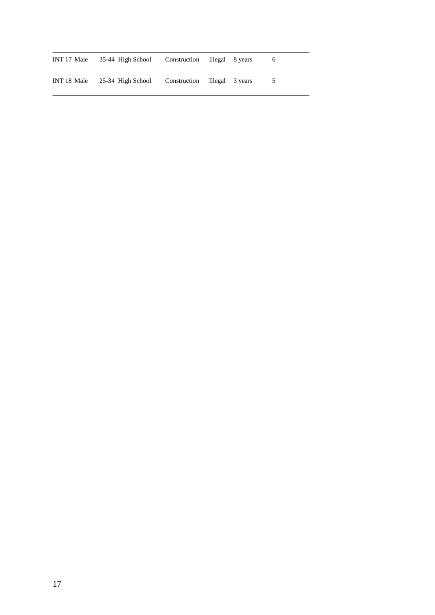|  | INT 17 Male 35-44 High School Construction Illegal 8 years |                              |  | 6.             |
|--|------------------------------------------------------------|------------------------------|--|----------------|
|  | INT 18 Male $25-34$ High School                            | Construction Illegal 3 years |  | 5 <sup>5</sup> |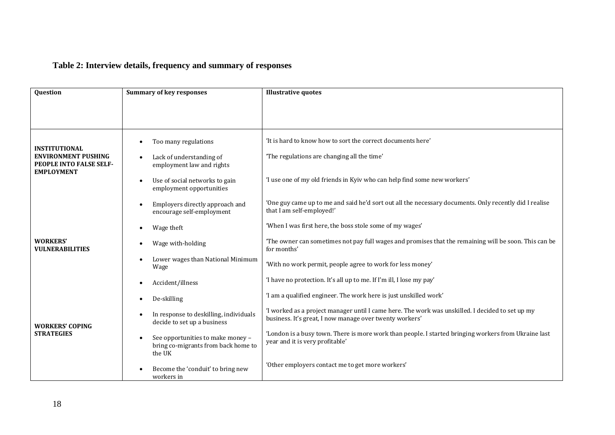# **Table 2: Interview details, frequency and summary of responses**

| Question                                                                                                  | <b>Summary of key responses</b>                                                                                                             | <b>Illustrative quotes</b>                                                                                                                                                             |  |  |
|-----------------------------------------------------------------------------------------------------------|---------------------------------------------------------------------------------------------------------------------------------------------|----------------------------------------------------------------------------------------------------------------------------------------------------------------------------------------|--|--|
|                                                                                                           |                                                                                                                                             |                                                                                                                                                                                        |  |  |
| <b>INSTITUTIONAL</b><br><b>ENVIRONMENT PUSHING</b><br><b>PEOPLE INTO FALSE SELF-</b><br><b>EMPLOYMENT</b> | Too many regulations<br>Lack of understanding of<br>employment law and rights<br>Use of social networks to gain<br>employment opportunities | 'It is hard to know how to sort the correct documents here'<br>'The regulations are changing all the time'<br>'I use one of my old friends in Kyiv who can help find some new workers' |  |  |
|                                                                                                           | Employers directly approach and<br>encourage self-employment                                                                                | 'One guy came up to me and said he'd sort out all the necessary documents. Only recently did I realise<br>that I am self-employed!'                                                    |  |  |
|                                                                                                           | Wage theft                                                                                                                                  | 'When I was first here, the boss stole some of my wages'                                                                                                                               |  |  |
| <b>WORKERS'</b><br><b>VULNERABILITIES</b>                                                                 | Wage with-holding                                                                                                                           | The owner can sometimes not pay full wages and promises that the remaining will be soon. This can be<br>for months'                                                                    |  |  |
|                                                                                                           | Lower wages than National Minimum<br>Wage                                                                                                   | 'With no work permit, people agree to work for less money'                                                                                                                             |  |  |
|                                                                                                           | Accident/illness                                                                                                                            | 'I have no protection. It's all up to me. If I'm ill, I lose my pay'                                                                                                                   |  |  |
|                                                                                                           | De-skilling                                                                                                                                 | 'I am a qualified engineer. The work here is just unskilled work'                                                                                                                      |  |  |
| <b>WORKERS' COPING</b>                                                                                    | In response to deskilling, individuals<br>decide to set up a business                                                                       | 'I worked as a project manager until I came here. The work was unskilled. I decided to set up my<br>business. It's great, I now manage over twenty workers'                            |  |  |
| <b>STRATEGIES</b>                                                                                         | See opportunities to make money -<br>bring co-migrants from back home to<br>the UK                                                          | 'London is a busy town. There is more work than people. I started bringing workers from Ukraine last<br>year and it is very profitable'                                                |  |  |
|                                                                                                           | Become the 'conduit' to bring new<br>workers in                                                                                             | 'Other employers contact me to get more workers'                                                                                                                                       |  |  |